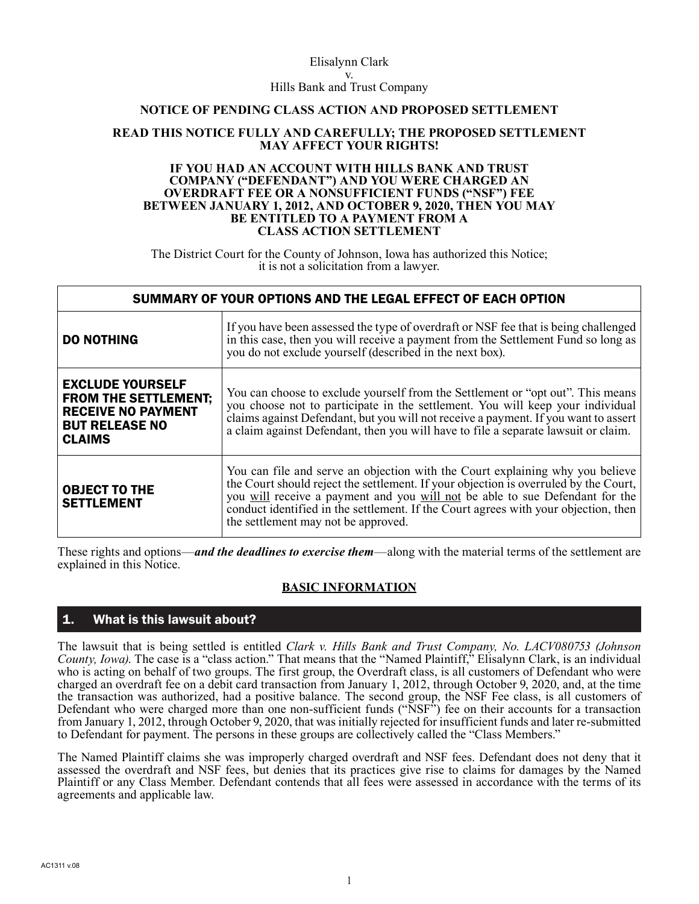#### Elisalynn Clark v. Hills Bank and Trust Company

#### **NOTICE OF PENDING CLASS ACTION AND PROPOSED SETTLEMENT**

#### **READ THIS NOTICE FULLY AND CAREFULLY; THE PROPOSED SETTLEMENT MAY AFFECT YOUR RIGHTS!**

#### **IF YOU HAD AN ACCOUNT WITH HILLS BANK AND TRUST COMPANY ("DEFENDANT") AND YOU WERE CHARGED AN OVERDRAFT FEE OR A NONSUFFICIENT FUNDS ("NSF") FEE BETWEEN JANUARY 1, 2012, AND OCTOBER 9, 2020, THEN YOU MAY BE ENTITLED TO A PAYMENT FROM A CLASS ACTION SETTLEMENT**

The District Court for the County of Johnson, Iowa has authorized this Notice; it is not a solicitation from a lawyer.

| SUMMARY OF YOUR OPTIONS AND THE LEGAL EFFECT OF EACH OPTION                                                                   |                                                                                                                                                                                                                                                                                                                                                                                     |
|-------------------------------------------------------------------------------------------------------------------------------|-------------------------------------------------------------------------------------------------------------------------------------------------------------------------------------------------------------------------------------------------------------------------------------------------------------------------------------------------------------------------------------|
| <b>DO NOTHING</b>                                                                                                             | If you have been assessed the type of overdraft or NSF fee that is being challenged<br>in this case, then you will receive a payment from the Settlement Fund so long as<br>you do not exclude yourself (described in the next box).                                                                                                                                                |
| <b>EXCLUDE YOURSELF</b><br><b>FROM THE SETTLEMENT;</b><br><b>RECEIVE NO PAYMENT</b><br><b>BUT RELEASE NO</b><br><b>CLAIMS</b> | You can choose to exclude yourself from the Settlement or "opt out". This means<br>you choose not to participate in the settlement. You will keep your individual<br>claims against Defendant, but you will not receive a payment. If you want to assert<br>a claim against Defendant, then you will have to file a separate lawsuit or claim.                                      |
| <b>OBJECT TO THE</b><br><b>SETTLEMENT</b>                                                                                     | You can file and serve an objection with the Court explaining why you believe<br>the Court should reject the settlement. If your objection is overruled by the Court,<br>you will receive a payment and you will not be able to sue Defendant for the<br>conduct identified in the settlement. If the Court agrees with your objection, then<br>the settlement may not be approved. |

These rights and options—*and the deadlines to exercise them*—along with the material terms of the settlement are explained in this Notice.

### **BASIC INFORMATION**

### 1. What is this lawsuit about?

The lawsuit that is being settled is entitled *Clark v. Hills Bank and Trust Company, No. LACV080753 (Johnson County, Iowa)*. The case is a "class action." That means that the "Named Plaintiff," Elisalynn Clark, is an individual who is acting on behalf of two groups. The first group, the Overdraft class, is all customers of Defendant who were charged an overdraft fee on a debit card transaction from January 1, 2012, through October 9, 2020, and, at the time the transaction was authorized, had a positive balance. The second group, the NSF Fee class, is all customers of Defendant who were charged more than one non-sufficient funds ("NSF") fee on their accounts for a transaction from January 1, 2012, through October 9, 2020, that was initially rejected for insufficient funds and later re-submitted to Defendant for payment. The persons in these groups are collectively called the "Class Members."

The Named Plaintiff claims she was improperly charged overdraft and NSF fees. Defendant does not deny that it assessed the overdraft and NSF fees, but denies that its practices give rise to claims for damages by the Named Plaintiff or any Class Member. Defendant contends that all fees were assessed in accordance with the terms of its agreements and applicable law.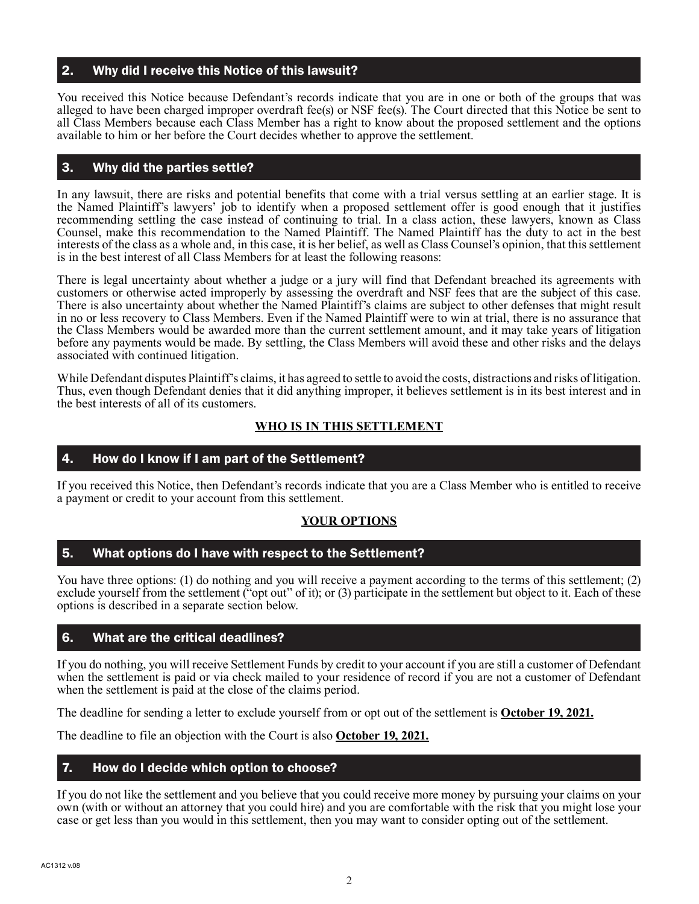### 2. Why did I receive this Notice of this lawsuit?

You received this Notice because Defendant's records indicate that you are in one or both of the groups that was alleged to have been charged improper overdraft fee(s) or NSF fee(s). The Court directed that this Notice be sent to all Class Members because each Class Member has a right to know about the proposed settlement and the options available to him or her before the Court decides whether to approve the settlement.

# 3. Why did the parties settle?

In any lawsuit, there are risks and potential benefits that come with a trial versus settling at an earlier stage. It is the Named Plaintiff's lawyers' job to identify when a proposed settlement offer is good enough that it justifies recommending settling the case instead of continuing to trial. In a class action, these lawyers, known as Class Counsel, make this recommendation to the Named Plaintiff. The Named Plaintiff has the duty to act in the best interests of the class as a whole and, in this case, it is her belief, as well as Class Counsel's opinion, that this settlement is in the best interest of all Class Members for at least the following reasons:

There is legal uncertainty about whether a judge or a jury will find that Defendant breached its agreements with customers or otherwise acted improperly by assessing the overdraft and NSF fees that are the subject of this case. There is also uncertainty about whether the Named Plaintiff's claims are subject to other defenses that might result in no or less recovery to Class Members. Even if the Named Plaintiff were to win at trial, there is no assurance that the Class Members would be awarded more than the current settlement amount, and it may take years of litigation before any payments would be made. By settling, the Class Members will avoid these and other risks and the delays associated with continued litigation.

While Defendant disputes Plaintiff's claims, it has agreed to settle to avoid the costs, distractions and risks of litigation. Thus, even though Defendant denies that it did anything improper, it believes settlement is in its best interest and in the best interests of all of its customers.

### **WHO IS IN THIS SETTLEMENT**

### 4. How do I know if I am part of the Settlement?

If you received this Notice, then Defendant's records indicate that you are a Class Member who is entitled to receive a payment or credit to your account from this settlement.

### **YOUR OPTIONS**

### 5. What options do I have with respect to the Settlement?

You have three options: (1) do nothing and you will receive a payment according to the terms of this settlement; (2) exclude yourself from the settlement ("opt out" of it); or (3) participate in the settlement but object to it. Each of these options is described in a separate section below.

### 6. What are the critical deadlines?

If you do nothing, you will receive Settlement Funds by credit to your account if you are still a customer of Defendant when the settlement is paid or via check mailed to your residence of record if you are not a customer of Defendant when the settlement is paid at the close of the claims period.

The deadline for sending a letter to exclude yourself from or opt out of the settlement is **October 19, 2021.**

The deadline to file an objection with the Court is also **October 19, 2021.**

### 7. How do I decide which option to choose?

If you do not like the settlement and you believe that you could receive more money by pursuing your claims on your own (with or without an attorney that you could hire) and you are comfortable with the risk that you might lose your case or get less than you would in this settlement, then you may want to consider opting out of the settlement.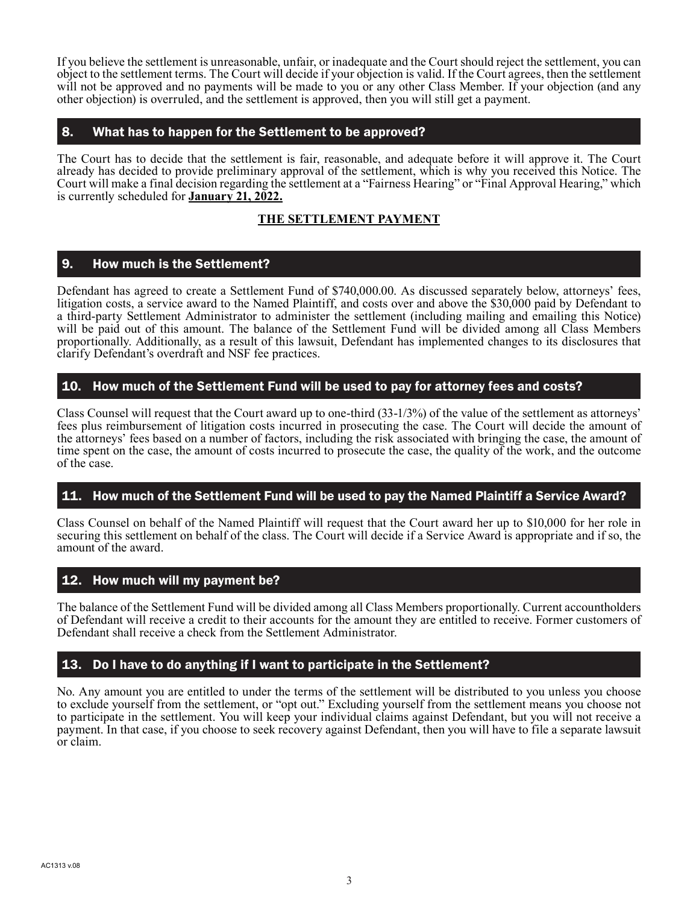If you believe the settlement is unreasonable, unfair, or inadequate and the Court should reject the settlement, you can object to the settlement terms. The Court will decide if your objection is valid. If the Court agrees, then the settlement will not be approved and no payments will be made to you or any other Class Member. If your objection (and any other objection) is overruled, and the settlement is approved, then you will still get a payment.

# 8. What has to happen for the Settlement to be approved?

The Court has to decide that the settlement is fair, reasonable, and adequate before it will approve it. The Court already has decided to provide preliminary approval of the settlement, which is why you received this Notice. The Court will make a final decision regarding the settlement at a "Fairness Hearing" or "Final Approval Hearing," which is currently scheduled for **January 21, 2022.**

## **THE SETTLEMENT PAYMENT**

## 9. How much is the Settlement?

Defendant has agreed to create a Settlement Fund of \$740,000.00. As discussed separately below, attorneys' fees, litigation costs, a service award to the Named Plaintiff, and costs over and above the \$30,000 paid by Defendant to a third-party Settlement Administrator to administer the settlement (including mailing and emailing this Notice) will be paid out of this amount. The balance of the Settlement Fund will be divided among all Class Members proportionally. Additionally, as a result of this lawsuit, Defendant has implemented changes to its disclosures that clarify Defendant's overdraft and NSF fee practices.

### 10. How much of the Settlement Fund will be used to pay for attorney fees and costs?

Class Counsel will request that the Court award up to one-third (33-1/3%) of the value of the settlement as attorneys' fees plus reimbursement of litigation costs incurred in prosecuting the case. The Court will decide the amount of the attorneys' fees based on a number of factors, including the risk associated with bringing the case, the amount of time spent on the case, the amount of costs incurred to prosecute the case, the quality of the work, and the outcome of the case.

### 11. How much of the Settlement Fund will be used to pay the Named Plaintiff a Service Award?

Class Counsel on behalf of the Named Plaintiff will request that the Court award her up to \$10,000 for her role in securing this settlement on behalf of the class. The Court will decide if a Service Award is appropriate and if so, the amount of the award.

### 12. How much will my payment be?

The balance of the Settlement Fund will be divided among all Class Members proportionally. Current accountholders of Defendant will receive a credit to their accounts for the amount they are entitled to receive. Former customers of Defendant shall receive a check from the Settlement Administrator.

### 13. Do I have to do anything if I want to participate in the Settlement?

No. Any amount you are entitled to under the terms of the settlement will be distributed to you unless you choose to exclude yourself from the settlement, or "opt out." Excluding yourself from the settlement means you choose not to participate in the settlement. You will keep your individual claims against Defendant, but you will not receive a payment. In that case, if you choose to seek recovery against Defendant, then you will have to file a separate lawsuit or claim.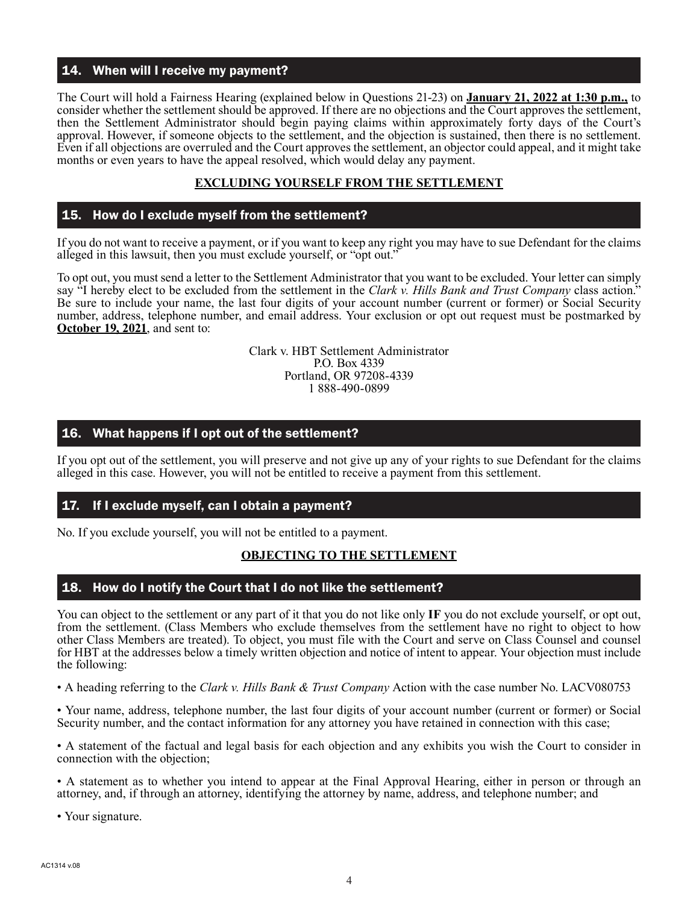### 14. When will I receive my payment?

The Court will hold a Fairness Hearing (explained below in Questions 21-23) on **January 21, 2022 at 1:30 p.m.,** to consider whether the settlement should be approved. If there are no objections and the Court approves the settlement, then the Settlement Administrator should begin paying claims within approximately forty days of the Court's approval. However, if someone objects to the settlement, and the objection is sustained, then there is no settlement. Even if all objections are overruled and the Court approves the settlement, an objector could appeal, and it might take months or even years to have the appeal resolved, which would delay any payment.

### **EXCLUDING YOURSELF FROM THE SETTLEMENT**

### 15. How do I exclude myself from the settlement?

If you do not want to receive a payment, or if you want to keep any right you may have to sue Defendant for the claims alleged in this lawsuit, then you must exclude yourself, or "opt out."

To opt out, you must send a letter to the Settlement Administrator that you want to be excluded. Your letter can simply say "I hereby elect to be excluded from the settlement in the *Clark v. Hills Bank and Trust Company* class action." Be sure to include your name, the last four digits of your account number (current or former) or Social Security number, address, telephone number, and email address. Your exclusion or opt out request must be postmarked by **October 19, 2021**, and sent to:

> Clark v. HBT Settlement Administrator P.O. Box 4339 Portland, OR 97208-4339 1 888-490-0899

### 16. What happens if I opt out of the settlement?

If you opt out of the settlement, you will preserve and not give up any of your rights to sue Defendant for the claims alleged in this case. However, you will not be entitled to receive a payment from this settlement.

### 17. If I exclude myself, can I obtain a payment?

No. If you exclude yourself, you will not be entitled to a payment.

### **OBJECTING TO THE SETTLEMENT**

### 18. How do I notify the Court that I do not like the settlement?

You can object to the settlement or any part of it that you do not like only **IF** you do not exclude yourself, or opt out, from the settlement. (Class Members who exclude themselves from the settlement have no right to object to how other Class Members are treated). To object, you must file with the Court and serve on Class Counsel and counsel for HBT at the addresses below a timely written objection and notice of intent to appear. Your objection must include the following:

• A heading referring to the *Clark v. Hills Bank & Trust Company* Action with the case number No. LACV080753

• Your name, address, telephone number, the last four digits of your account number (current or former) or Social Security number, and the contact information for any attorney you have retained in connection with this case;

• A statement of the factual and legal basis for each objection and any exhibits you wish the Court to consider in connection with the objection;

• A statement as to whether you intend to appear at the Final Approval Hearing, either in person or through an attorney, and, if through an attorney, identifying the attorney by name, address, and telephone number; and

• Your signature.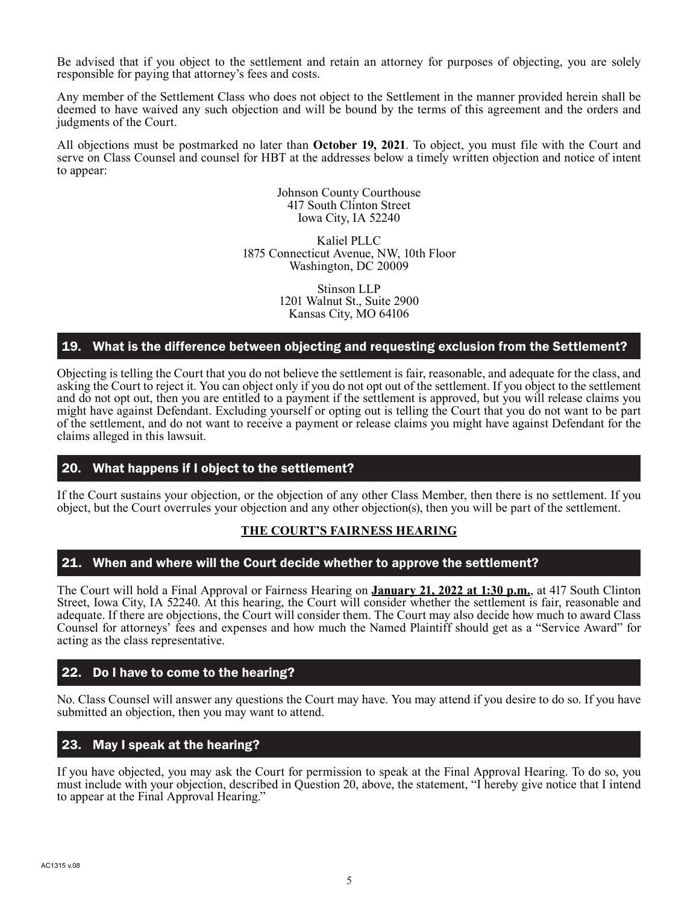Be advised that if you object to the settlement and retain an attorney for purposes of objecting, you are solely responsible for paying that attorney's fees and costs.

Any member of the Settlement Class who does not object to the Settlement in the manner provided herein shall be deemed to have waived any such objection and will be bound by the terms of this agreement and the orders and judgments of the Court.

All objections must be postmarked no later than **October 19, 2021**. To object, you must file with the Court and serve on Class Counsel and counsel for HBT at the addresses below a timely written objection and notice of intent to appear:

> Johnson County Courthouse 417 South Clinton Street Iowa City, IA 52240

Kaliel PLLC 1875 Connecticut Avenue, NW, 10th Floor Washington, DC 20009

> Stinson LLP 1201 Walnut St., Suite 2900 Kansas City, MO 64106

## 19. What is the difference between objecting and requesting exclusion from the Settlement?

Objecting is telling the Court that you do not believe the settlement is fair, reasonable, and adequate for the class, and asking the Court to reject it. You can object only if you do not opt out of the settlement. If you object to the settlement and do not opt out, then you are entitled to a payment if the settlement is approved, but you will release claims you might have against Defendant. Excluding yourself or opting out is telling the Court that you do not want to be part of the settlement, and do not want to receive a payment or release claims you might have against Defendant for the claims alleged in this lawsuit.

### 20. What happens if I object to the settlement?

If the Court sustains your objection, or the objection of any other Class Member, then there is no settlement. If you object, but the Court overrules your objection and any other objection(s), then you will be part of the settlement.

### **THE COURT'S FAIRNESS HEARING**

### 21. When and where will the Court decide whether to approve the settlement?

The Court will hold a Final Approval or Fairness Hearing on **January 21, 2022 at 1:30 p.m.**, at 417 South Clinton Street, Iowa City, IA 52240. At this hearing, the Court will consider whether the settlement is fair, reasonable and adequate. If there are objections, the Court will consider them. The Court may also decide how much to award Class Counsel for attorneys' fees and expenses and how much the Named Plaintiff should get as a "Service Award" for acting as the class representative.

### 22. Do I have to come to the hearing?

No. Class Counsel will answer any questions the Court may have. You may attend if you desire to do so. If you have submitted an objection, then you may want to attend.

### 23. May I speak at the hearing?

If you have objected, you may ask the Court for permission to speak at the Final Approval Hearing. To do so, you must include with your objection, described in Question 20, above, the statement, "I hereby give notice that I intend to appear at the Final Approval Hearing."